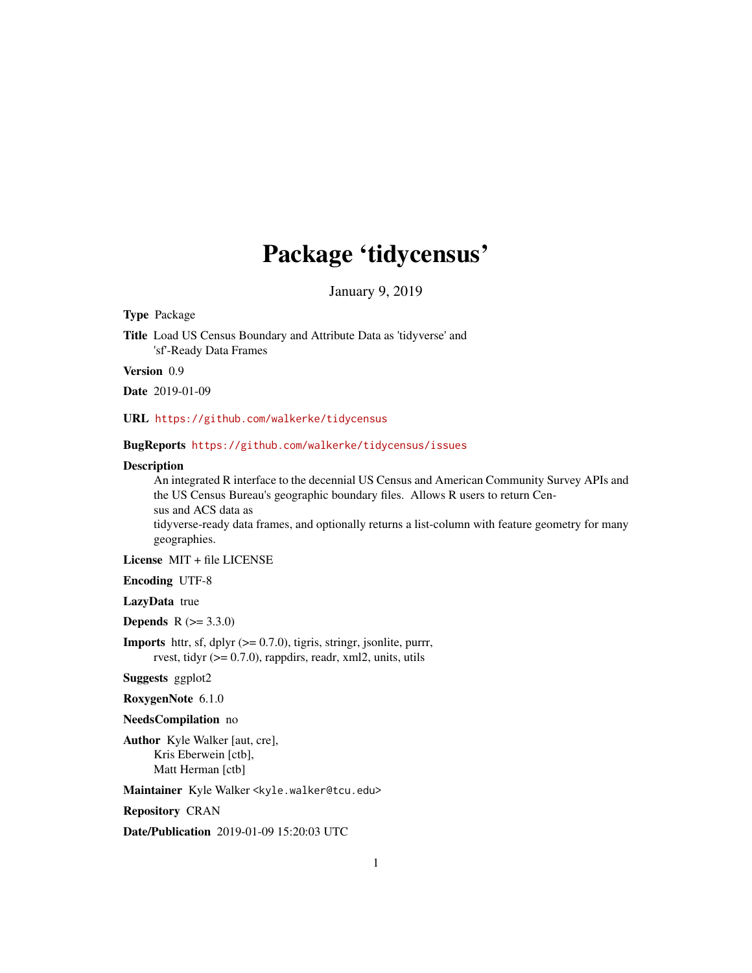# Package 'tidycensus'

January 9, 2019

Type Package

Title Load US Census Boundary and Attribute Data as 'tidyverse' and 'sf'-Ready Data Frames

Version 0.9

Date 2019-01-09

URL <https://github.com/walkerke/tidycensus>

BugReports <https://github.com/walkerke/tidycensus/issues>

#### Description

An integrated R interface to the decennial US Census and American Community Survey APIs and the US Census Bureau's geographic boundary files. Allows R users to return Census and ACS data as tidyverse-ready data frames, and optionally returns a list-column with feature geometry for many geographies.

License MIT + file LICENSE

Encoding UTF-8

LazyData true

**Depends**  $R (= 3.3.0)$ 

**Imports** httr, sf, dplyr  $(>= 0.7.0)$ , tigris, stringr, jsonlite, purrr, rvest, tidyr  $(>= 0.7.0)$ , rappdirs, readr, xml2, units, utils

Suggests ggplot2

RoxygenNote 6.1.0

NeedsCompilation no

Author Kyle Walker [aut, cre], Kris Eberwein [ctb], Matt Herman [ctb]

Maintainer Kyle Walker <kyle.walker@tcu.edu>

Repository CRAN

Date/Publication 2019-01-09 15:20:03 UTC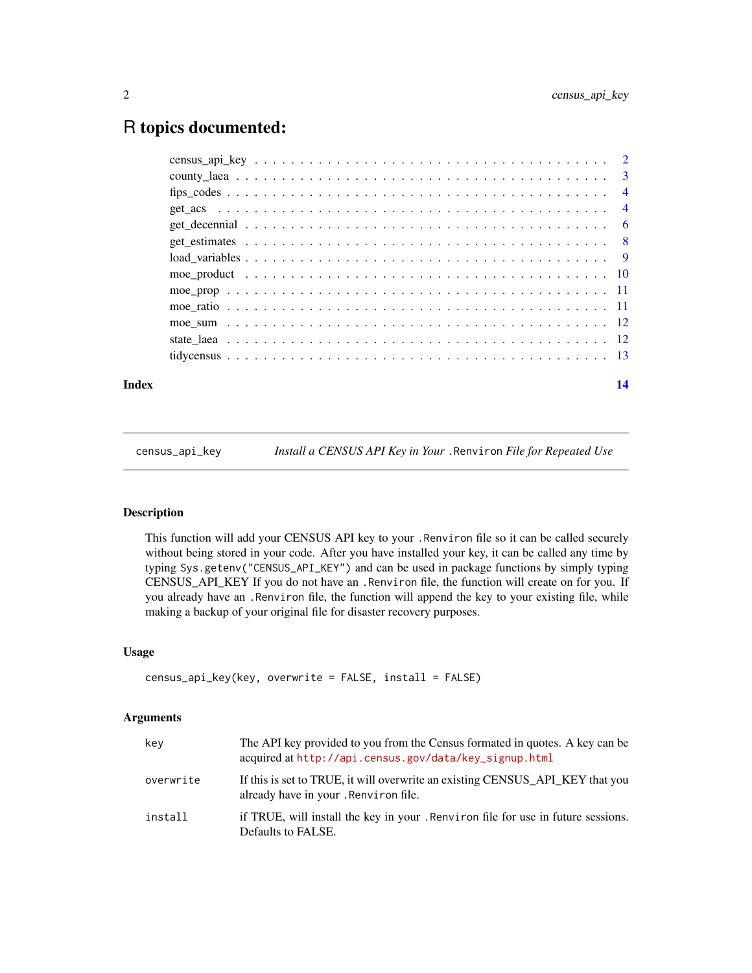# <span id="page-1-0"></span>R topics documented:

| Index | 14 |
|-------|----|
|       |    |

census\_api\_key *Install a CENSUS API Key in Your* .Renviron *File for Repeated Use*

# Description

This function will add your CENSUS API key to your .Renviron file so it can be called securely without being stored in your code. After you have installed your key, it can be called any time by typing Sys.getenv("CENSUS\_API\_KEY") and can be used in package functions by simply typing CENSUS\_API\_KEY If you do not have an .Renviron file, the function will create on for you. If you already have an .Renviron file, the function will append the key to your existing file, while making a backup of your original file for disaster recovery purposes.

#### Usage

```
census_api_key(key, overwrite = FALSE, install = FALSE)
```
# Arguments

| key       | The API key provided to you from the Census formated in quotes. A key can be<br>acquired at http://api.census.gov/data/key_signup.html |
|-----------|----------------------------------------------------------------------------------------------------------------------------------------|
| overwrite | If this is set to TRUE, it will overwrite an existing CENSUS API KEY that you<br>already have in your . Renviron file.                 |
| install   | if TRUE, will install the key in your . Renviron file for use in future sessions.<br>Defaults to FALSE.                                |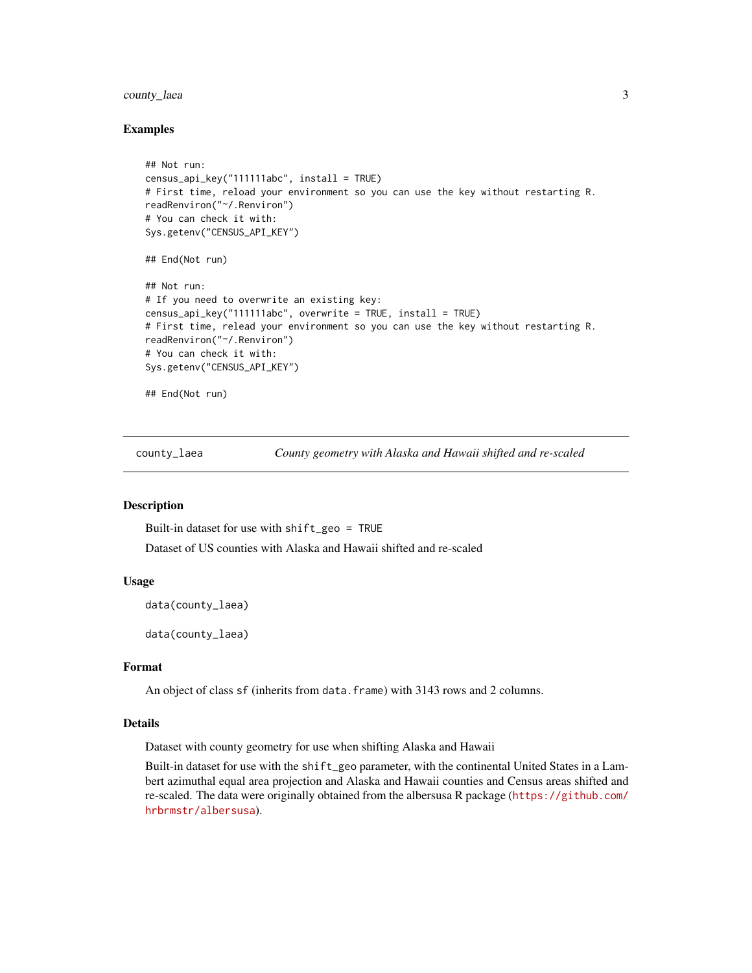# <span id="page-2-0"></span>county\_laea 3

### Examples

```
## Not run:
census_api_key("111111abc", install = TRUE)
# First time, reload your environment so you can use the key without restarting R.
readRenviron("~/.Renviron")
# You can check it with:
Sys.getenv("CENSUS_API_KEY")
## End(Not run)
## Not run:
# If you need to overwrite an existing key:
census_api_key("111111abc", overwrite = TRUE, install = TRUE)
# First time, relead your environment so you can use the key without restarting R.
readRenviron("~/.Renviron")
# You can check it with:
Sys.getenv("CENSUS_API_KEY")
## End(Not run)
```
county\_laea *County geometry with Alaska and Hawaii shifted and re-scaled*

# Description

Built-in dataset for use with shift\_geo = TRUE Dataset of US counties with Alaska and Hawaii shifted and re-scaled

### Usage

data(county\_laea)

data(county\_laea)

# Format

An object of class sf (inherits from data.frame) with 3143 rows and 2 columns.

# Details

Dataset with county geometry for use when shifting Alaska and Hawaii

Built-in dataset for use with the shift\_geo parameter, with the continental United States in a Lambert azimuthal equal area projection and Alaska and Hawaii counties and Census areas shifted and re-scaled. The data were originally obtained from the albersusa R package ([https://github.com/](https://github.com/hrbrmstr/albersusa) [hrbrmstr/albersusa](https://github.com/hrbrmstr/albersusa)).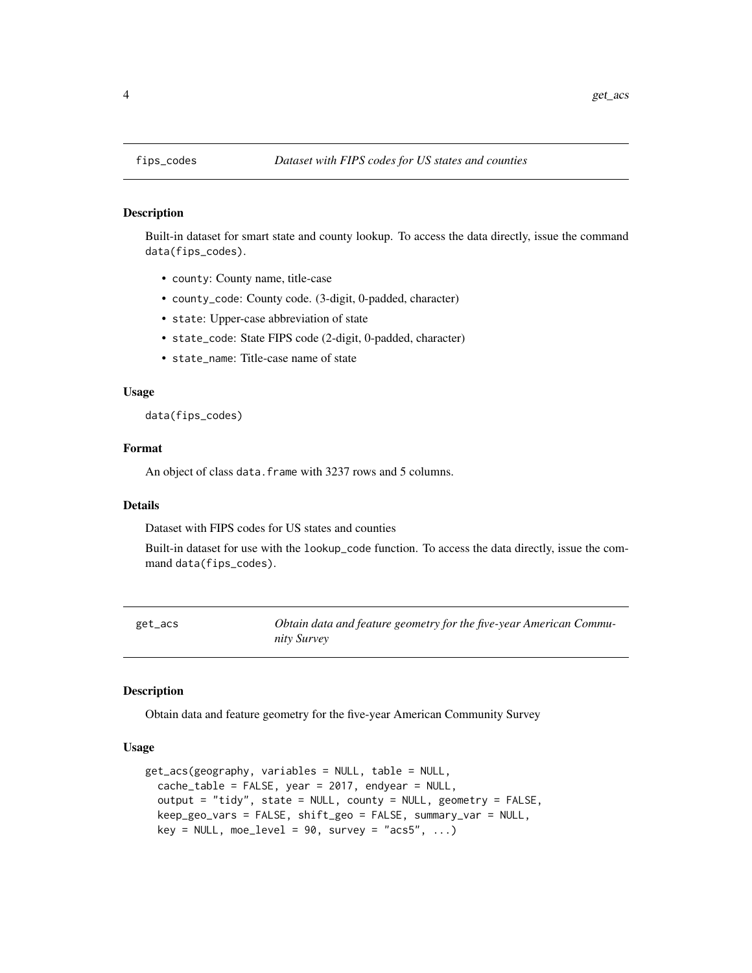# Description

Built-in dataset for smart state and county lookup. To access the data directly, issue the command data(fips\_codes).

- county: County name, title-case
- county\_code: County code. (3-digit, 0-padded, character)
- state: Upper-case abbreviation of state
- state\_code: State FIPS code (2-digit, 0-padded, character)
- state\_name: Title-case name of state

# Usage

data(fips\_codes)

# Format

An object of class data. frame with 3237 rows and 5 columns.

# Details

Dataset with FIPS codes for US states and counties

Built-in dataset for use with the lookup\_code function. To access the data directly, issue the command data(fips\_codes).

get\_acs *Obtain data and feature geometry for the five-year American Community Survey*

#### **Description**

Obtain data and feature geometry for the five-year American Community Survey

### Usage

```
get_acs(geography, variables = NULL, table = NULL,
  cache_table = FALSE, year = 2017, endyear = NULL,output = "tidy", state = NULL, county = NULL, geometry = FALSE,
  keep_geo_vars = FALSE, shift_geo = FALSE, summary_var = NULL,
  key = NULL, \text{moe\_level} = 90, \text{ survey} = "acss", ...
```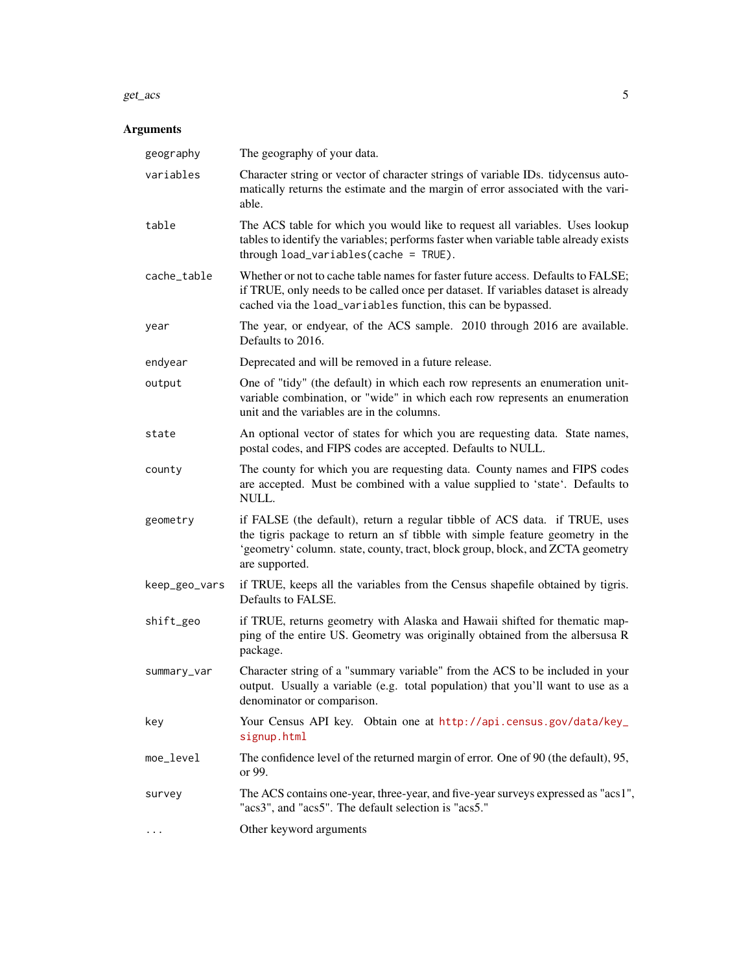#### get\_acs 5

# Arguments

| geography     | The geography of your data.                                                                                                                                                                                                                                     |
|---------------|-----------------------------------------------------------------------------------------------------------------------------------------------------------------------------------------------------------------------------------------------------------------|
| variables     | Character string or vector of character strings of variable IDs. tidycensus auto-<br>matically returns the estimate and the margin of error associated with the vari-<br>able.                                                                                  |
| table         | The ACS table for which you would like to request all variables. Uses lookup<br>tables to identify the variables; performs faster when variable table already exists<br>through load_variables(cache = TRUE).                                                   |
| cache_table   | Whether or not to cache table names for faster future access. Defaults to FALSE;<br>if TRUE, only needs to be called once per dataset. If variables dataset is already<br>cached via the load_variables function, this can be bypassed.                         |
| year          | The year, or endyear, of the ACS sample. 2010 through 2016 are available.<br>Defaults to 2016.                                                                                                                                                                  |
| endyear       | Deprecated and will be removed in a future release.                                                                                                                                                                                                             |
| output        | One of "tidy" (the default) in which each row represents an enumeration unit-<br>variable combination, or "wide" in which each row represents an enumeration<br>unit and the variables are in the columns.                                                      |
| state         | An optional vector of states for which you are requesting data. State names,<br>postal codes, and FIPS codes are accepted. Defaults to NULL.                                                                                                                    |
| county        | The county for which you are requesting data. County names and FIPS codes<br>are accepted. Must be combined with a value supplied to 'state'. Defaults to<br>NULL.                                                                                              |
| geometry      | if FALSE (the default), return a regular tibble of ACS data. if TRUE, uses<br>the tigris package to return an sf tibble with simple feature geometry in the<br>'geometry' column. state, county, tract, block group, block, and ZCTA geometry<br>are supported. |
| keep_geo_vars | if TRUE, keeps all the variables from the Census shapefile obtained by tigris.<br>Defaults to FALSE.                                                                                                                                                            |
| shift_geo     | if TRUE, returns geometry with Alaska and Hawaii shifted for thematic map-<br>ping of the entire US. Geometry was originally obtained from the albersusa R<br>package.                                                                                          |
| summary_var   | Character string of a "summary variable" from the ACS to be included in your<br>output. Usually a variable (e.g. total population) that you'll want to use as a<br>denominator or comparison.                                                                   |
| key           | Your Census API key. Obtain one at http://api.census.gov/data/key_<br>signup.html                                                                                                                                                                               |
| moe_level     | The confidence level of the returned margin of error. One of 90 (the default), 95,<br>or 99.                                                                                                                                                                    |
| survey        | The ACS contains one-year, three-year, and five-year surveys expressed as "acs1",<br>"acs3", and "acs5". The default selection is "acs5."                                                                                                                       |
| $\cdots$      | Other keyword arguments                                                                                                                                                                                                                                         |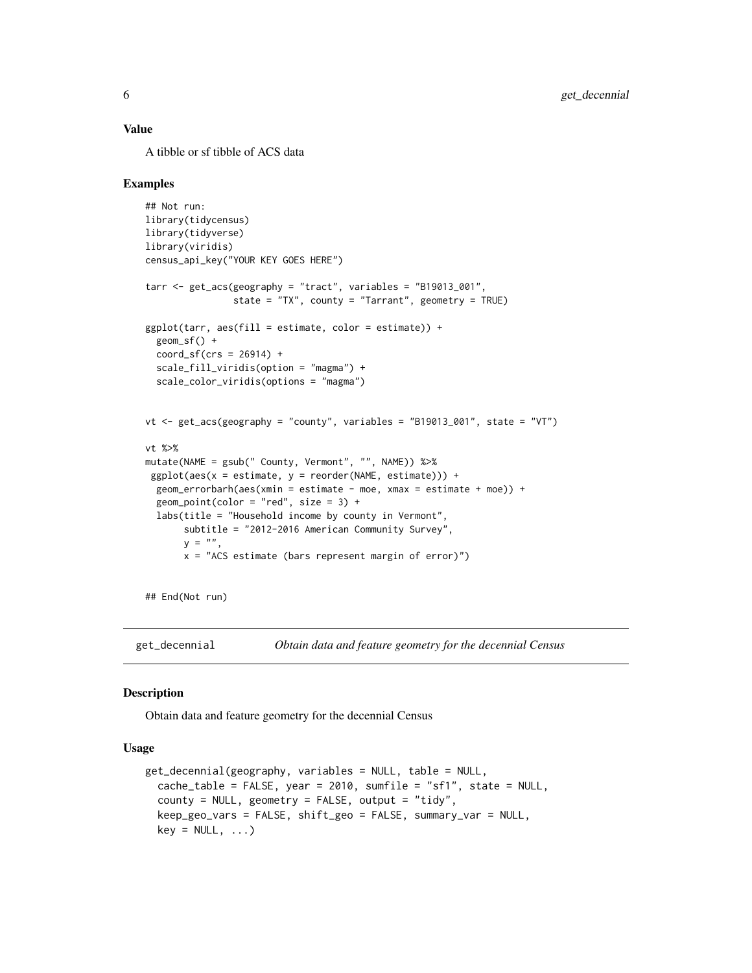#### <span id="page-5-0"></span>Value

A tibble or sf tibble of ACS data

# Examples

```
## Not run:
library(tidycensus)
library(tidyverse)
library(viridis)
census_api_key("YOUR KEY GOES HERE")
tarr <- get_acs(geography = "tract", variables = "B19013_001",
                state = "TX", county = "Tarrant", geometry = TRUE)
ggplot(tarr, aes(fill = estimate, color = estimate)) +geom_sf() +
  coord_sf(crs = 26914) +
  scale_fill_viridis(option = "magma") +
  scale_color_viridis(options = "magma")
vt <- get_acs(geography = "county", variables = "B19013_001", state = "VT")
vt %>%
mutate(NAME = gsub(" County, Vermont", "", NAME)) %>%
 ggplot(aes(x = estimate, y = reorder(NAME, estimate))) +geom_errorbarh(aes(xmin = estimate - moe, xmax = estimate + moe)) +
  geom\_point(color = "red", size = 3) +labs(title = "Household income by county in Vermont",
       subtitle = "2012-2016 American Community Survey",
       y = ".
       x = "ACS estimate (bars represent margin of error)")
```
## End(Not run)

get\_decennial *Obtain data and feature geometry for the decennial Census*

#### **Description**

Obtain data and feature geometry for the decennial Census

# Usage

```
get_decennial(geography, variables = NULL, table = NULL,
  cache_table = FALSE, year = 2010, sumfile = "sf1", state = NULL,
  county = NULL, geometry = FALSE, output = "tidy",
 keep_geo_vars = FALSE, shift_geo = FALSE, summary_var = NULL,
  key = NULL, ...)
```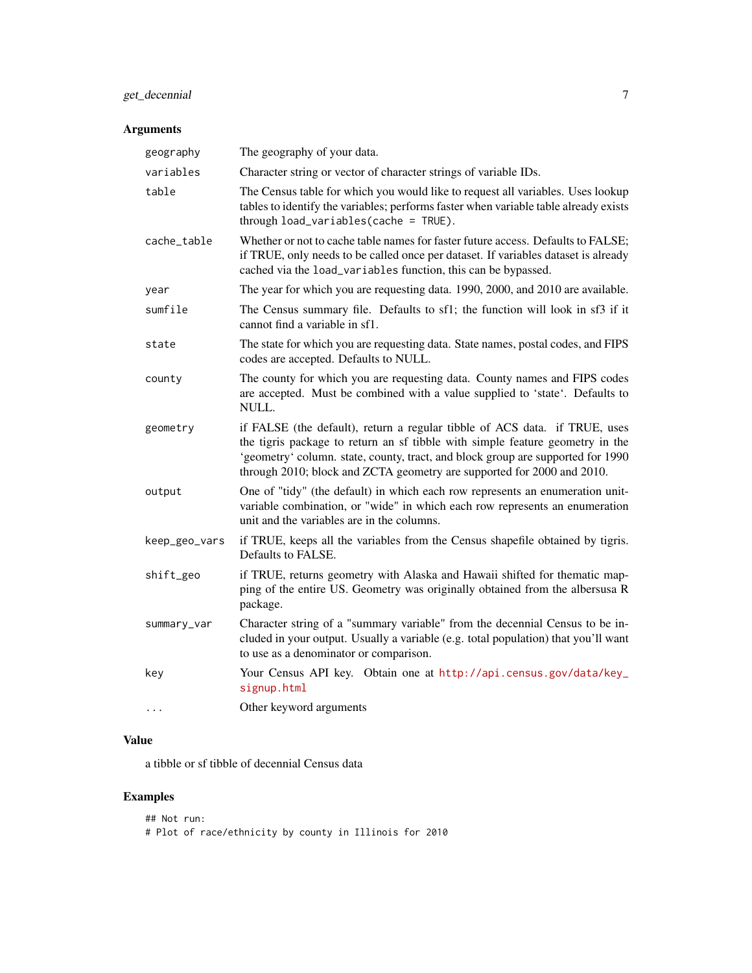# get\_decennial 7

# Arguments

| The geography of your data.                                                                                                                                                                                                                                                                                              |
|--------------------------------------------------------------------------------------------------------------------------------------------------------------------------------------------------------------------------------------------------------------------------------------------------------------------------|
| Character string or vector of character strings of variable IDs.                                                                                                                                                                                                                                                         |
| The Census table for which you would like to request all variables. Uses lookup<br>tables to identify the variables; performs faster when variable table already exists<br>through load_variables(cache = TRUE).                                                                                                         |
| Whether or not to cache table names for faster future access. Defaults to FALSE;<br>if TRUE, only needs to be called once per dataset. If variables dataset is already<br>cached via the load_variables function, this can be bypassed.                                                                                  |
| The year for which you are requesting data. 1990, 2000, and 2010 are available.                                                                                                                                                                                                                                          |
| The Census summary file. Defaults to sf1; the function will look in sf3 if it<br>cannot find a variable in sf1.                                                                                                                                                                                                          |
| The state for which you are requesting data. State names, postal codes, and FIPS<br>codes are accepted. Defaults to NULL.                                                                                                                                                                                                |
| The county for which you are requesting data. County names and FIPS codes<br>are accepted. Must be combined with a value supplied to 'state'. Defaults to<br>NULL.                                                                                                                                                       |
| if FALSE (the default), return a regular tibble of ACS data. if TRUE, uses<br>the tigris package to return an sf tibble with simple feature geometry in the<br>'geometry' column. state, county, tract, and block group are supported for 1990<br>through 2010; block and ZCTA geometry are supported for 2000 and 2010. |
| One of "tidy" (the default) in which each row represents an enumeration unit-<br>variable combination, or "wide" in which each row represents an enumeration<br>unit and the variables are in the columns.                                                                                                               |
| if TRUE, keeps all the variables from the Census shapefile obtained by tigris.<br>Defaults to FALSE.                                                                                                                                                                                                                     |
| if TRUE, returns geometry with Alaska and Hawaii shifted for thematic map-<br>ping of the entire US. Geometry was originally obtained from the albersusa R<br>package.                                                                                                                                                   |
| Character string of a "summary variable" from the decennial Census to be in-<br>cluded in your output. Usually a variable (e.g. total population) that you'll want<br>to use as a denominator or comparison.                                                                                                             |
| Your Census API key. Obtain one at http://api.census.gov/data/key_<br>signup.html                                                                                                                                                                                                                                        |
| Other keyword arguments                                                                                                                                                                                                                                                                                                  |
|                                                                                                                                                                                                                                                                                                                          |

# Value

a tibble or sf tibble of decennial Census data

# Examples

| ## Not run: |                                                         |  |  |  |
|-------------|---------------------------------------------------------|--|--|--|
|             | # Plot of race/ethnicity by county in Illinois for 2010 |  |  |  |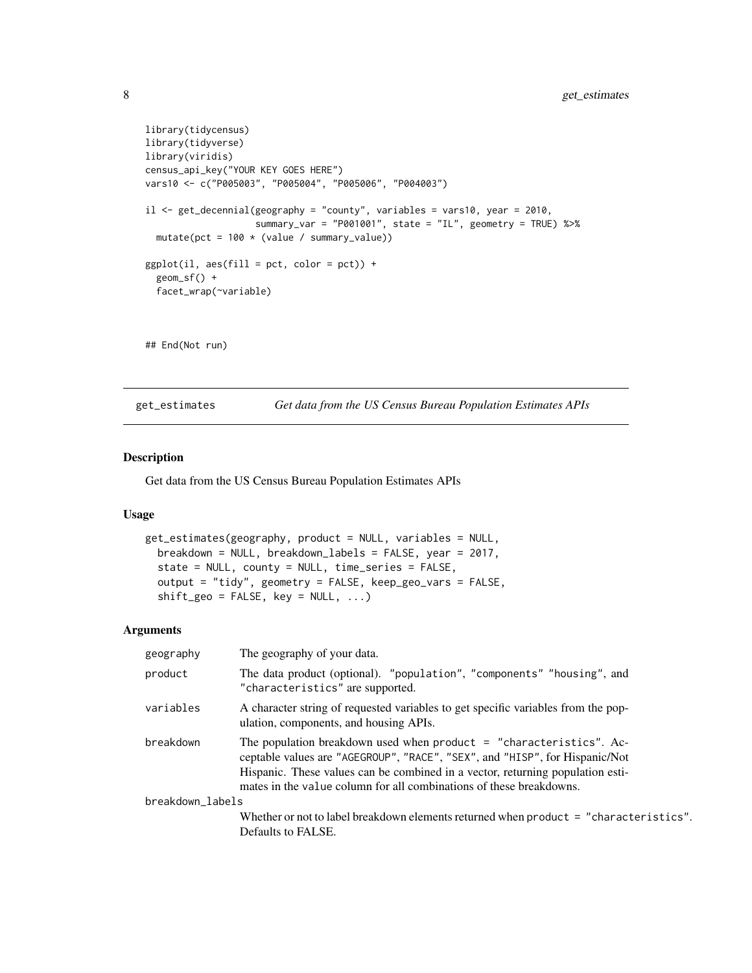```
library(tidycensus)
library(tidyverse)
library(viridis)
census_api_key("YOUR KEY GOES HERE")
vars10 <- c("P005003", "P005004", "P005006", "P004003")
il <- get_decennial(geography = "county", variables = vars10, year = 2010,
                    summary_var = "P001001", state = "IL", geometry = TRUE) %>%
  mutate(pct = 100 * (value / summary_value))
ggplot(i1, aes(fill = pct, color = pct)) +
  geom_sf() +
  facet_wrap(~variable)
## End(Not run)
```
get\_estimates *Get data from the US Census Bureau Population Estimates APIs*

#### Description

Get data from the US Census Bureau Population Estimates APIs

#### Usage

```
get_estimates(geography, product = NULL, variables = NULL,
 breakdown = NULL, breakdown_labels = FALSE, year = 2017,
 state = NULL, county = NULL, time_series = FALSE,
 output = "tidy", geometry = FALSE, keep_geo_vars = FALSE,
  shift\_geo = FALSE, key = NULL, ...)
```
# Arguments

| geography        | The geography of your data.                                                                                                                                                                                                                                                                                 |  |
|------------------|-------------------------------------------------------------------------------------------------------------------------------------------------------------------------------------------------------------------------------------------------------------------------------------------------------------|--|
| product          | The data product (optional). "population", "components" "housing", and<br>"characteristics" are supported.                                                                                                                                                                                                  |  |
| variables        | A character string of requested variables to get specific variables from the pop-<br>ulation, components, and housing APIs.                                                                                                                                                                                 |  |
| breakdown        | The population breakdown used when product = "characteristics". Ac-<br>ceptable values are "AGEGROUP", "RACE", "SEX", and "HISP", for Hispanic/Not<br>Hispanic. These values can be combined in a vector, returning population esti-<br>mates in the value column for all combinations of these breakdowns. |  |
| breakdown labels |                                                                                                                                                                                                                                                                                                             |  |
|                  | Whether or not to label breakdown elements returned when product = "characteristics".<br>Defaults to FALSE.                                                                                                                                                                                                 |  |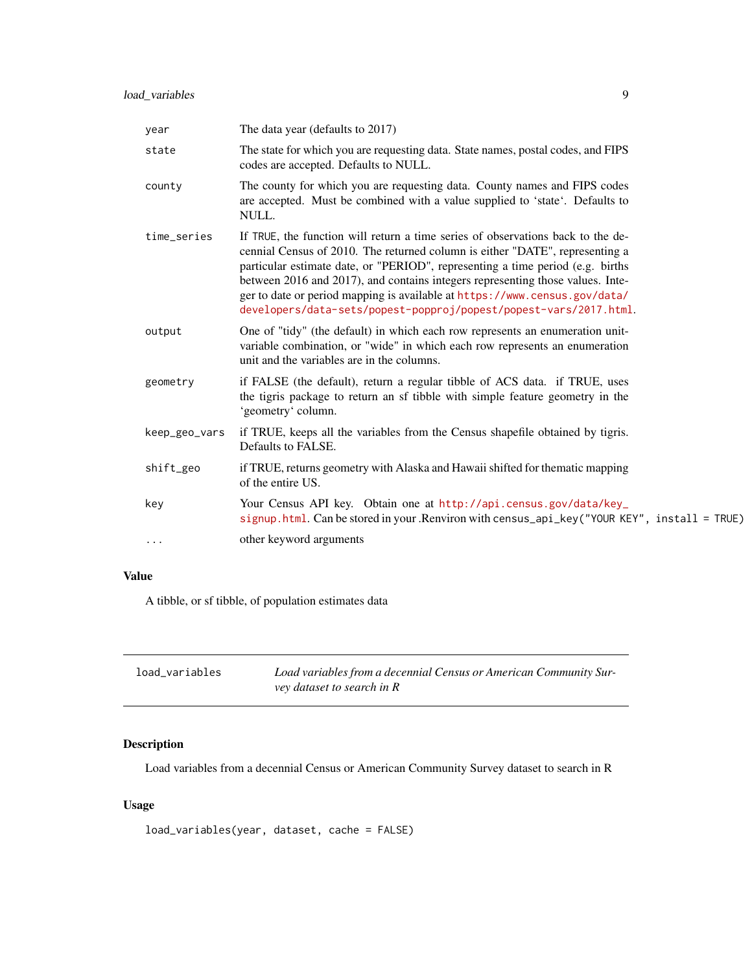<span id="page-8-0"></span>

| year          | The data year (defaults to 2017)                                                                                                                                                                                                                                                                                                                                                                                                                                                       |
|---------------|----------------------------------------------------------------------------------------------------------------------------------------------------------------------------------------------------------------------------------------------------------------------------------------------------------------------------------------------------------------------------------------------------------------------------------------------------------------------------------------|
| state         | The state for which you are requesting data. State names, postal codes, and FIPS<br>codes are accepted. Defaults to NULL.                                                                                                                                                                                                                                                                                                                                                              |
| county        | The county for which you are requesting data. County names and FIPS codes<br>are accepted. Must be combined with a value supplied to 'state'. Defaults to<br>NULL.                                                                                                                                                                                                                                                                                                                     |
| time_series   | If TRUE, the function will return a time series of observations back to the de-<br>cennial Census of 2010. The returned column is either "DATE", representing a<br>particular estimate date, or "PERIOD", representing a time period (e.g. births<br>between 2016 and 2017), and contains integers representing those values. Inte-<br>ger to date or period mapping is available at https://www.census.gov/data/<br>developers/data-sets/popest-popproj/popest/popest-vars/2017.html. |
| output        | One of "tidy" (the default) in which each row represents an enumeration unit-<br>variable combination, or "wide" in which each row represents an enumeration<br>unit and the variables are in the columns.                                                                                                                                                                                                                                                                             |
| geometry      | if FALSE (the default), return a regular tibble of ACS data. if TRUE, uses<br>the tigris package to return an sf tibble with simple feature geometry in the<br>'geometry' column.                                                                                                                                                                                                                                                                                                      |
| keep_geo_vars | if TRUE, keeps all the variables from the Census shapefile obtained by tigris.<br>Defaults to FALSE.                                                                                                                                                                                                                                                                                                                                                                                   |
| shift_geo     | if TRUE, returns geometry with Alaska and Hawaii shifted for thematic mapping<br>of the entire US.                                                                                                                                                                                                                                                                                                                                                                                     |
| key           | Your Census API key. Obtain one at http://api.census.gov/data/key_<br>signup.html. Can be stored in your .Renviron with census_api_key("YOUR KEY", install = TRUE)                                                                                                                                                                                                                                                                                                                     |
| $\cdots$      | other keyword arguments                                                                                                                                                                                                                                                                                                                                                                                                                                                                |

# Value

A tibble, or sf tibble, of population estimates data

| load_variables | Load variables from a decennial Census or American Community Sur- |
|----------------|-------------------------------------------------------------------|
|                | vey dataset to search in R                                        |

# Description

Load variables from a decennial Census or American Community Survey dataset to search in R

# Usage

```
load_variables(year, dataset, cache = FALSE)
```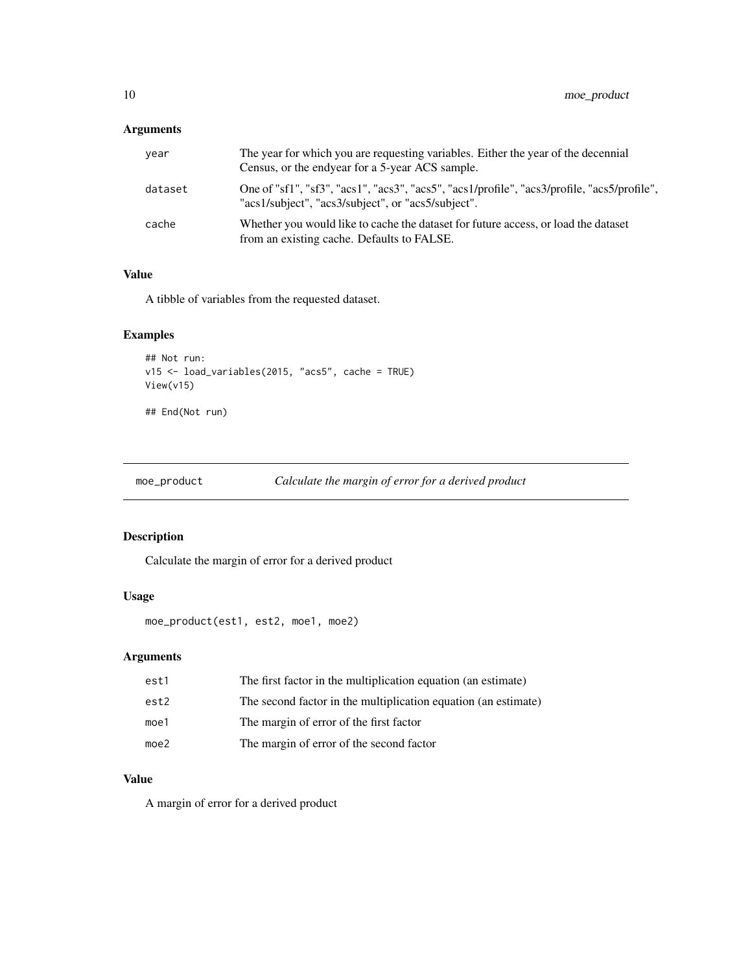# <span id="page-9-0"></span>Arguments

| vear    | The year for which you are requesting variables. Either the year of the decennial<br>Census, or the endyear for a 5-year ACS sample.              |
|---------|---------------------------------------------------------------------------------------------------------------------------------------------------|
| dataset | One of "sf1", "sf3", "acs1", "acs3", "acs5", "acs1/profile", "acs3/profile, "acs5/profile",<br>"acs1/subject", "acs3/subject", or "acs5/subject". |
| cache   | Whether you would like to cache the dataset for future access, or load the dataset<br>from an existing cache. Defaults to FALSE.                  |

# Value

A tibble of variables from the requested dataset.

# Examples

```
## Not run:
v15 <- load_variables(2015, "acs5", cache = TRUE)
View(v15)
```
## End(Not run)

moe\_product *Calculate the margin of error for a derived product*

# Description

Calculate the margin of error for a derived product

# Usage

```
moe_product(est1, est2, moe1, moe2)
```
# Arguments

| est1             | The first factor in the multiplication equation (an estimate)  |
|------------------|----------------------------------------------------------------|
| est2             | The second factor in the multiplication equation (an estimate) |
| moe <sub>1</sub> | The margin of error of the first factor                        |
| moe2             | The margin of error of the second factor                       |

# Value

A margin of error for a derived product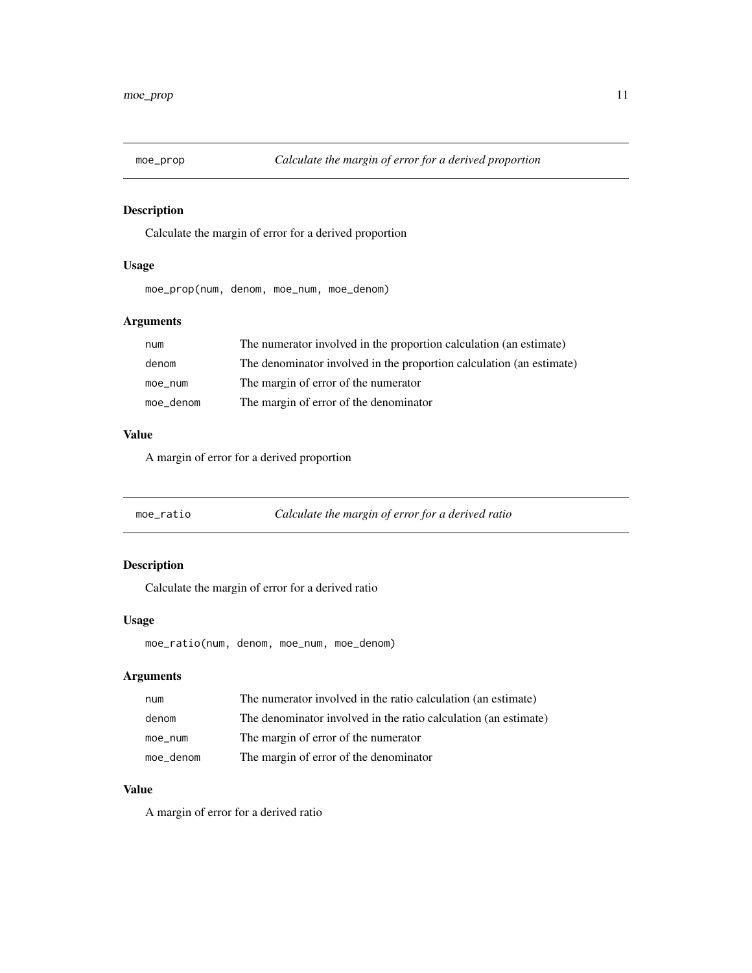<span id="page-10-0"></span>

# Description

Calculate the margin of error for a derived proportion

# Usage

moe\_prop(num, denom, moe\_num, moe\_denom)

# Arguments

| num       | The numerator involved in the proportion calculation (an estimate)   |
|-----------|----------------------------------------------------------------------|
| denom     | The denominator involved in the proportion calculation (an estimate) |
| moe_num   | The margin of error of the numerator                                 |
| moe_denom | The margin of error of the denominator                               |

# Value

A margin of error for a derived proportion

| moe ratio | Calculate the margin of error for a derived ratio |
|-----------|---------------------------------------------------|
|           |                                                   |

# Description

Calculate the margin of error for a derived ratio

# Usage

moe\_ratio(num, denom, moe\_num, moe\_denom)

# Arguments

| num       | The numerator involved in the ratio calculation (an estimate)   |
|-----------|-----------------------------------------------------------------|
| denom     | The denominator involved in the ratio calculation (an estimate) |
| moe num   | The margin of error of the numerator                            |
| moe_denom | The margin of error of the denominator                          |

# Value

A margin of error for a derived ratio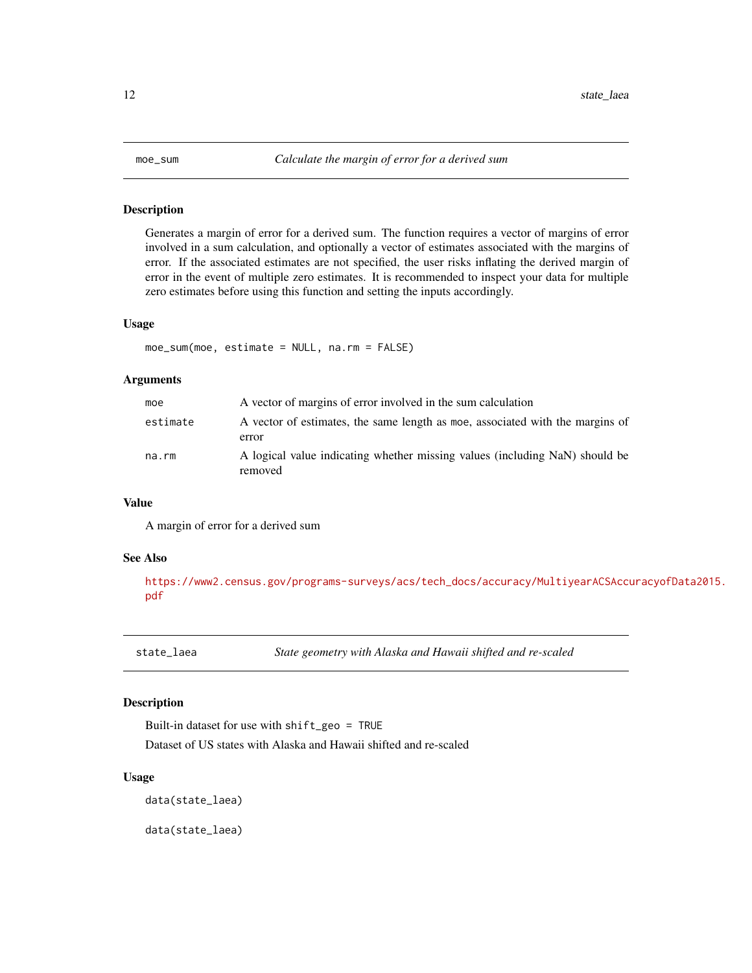<span id="page-11-0"></span>

### Description

Generates a margin of error for a derived sum. The function requires a vector of margins of error involved in a sum calculation, and optionally a vector of estimates associated with the margins of error. If the associated estimates are not specified, the user risks inflating the derived margin of error in the event of multiple zero estimates. It is recommended to inspect your data for multiple zero estimates before using this function and setting the inputs accordingly.

# Usage

```
moe_sum(moe, estimate = NULL, na.rm = FALSE)
```
#### Arguments

| moe      | A vector of margins of error involved in the sum calculation                           |
|----------|----------------------------------------------------------------------------------------|
| estimate | A vector of estimates, the same length as moe, associated with the margins of<br>error |
| na.rm    | A logical value indicating whether missing values (including NaN) should be<br>removed |

#### Value

A margin of error for a derived sum

#### See Also

[https://www2.census.gov/programs-surveys/acs/tech\\_docs/accuracy/MultiyearACSAccu](https://www2.census.gov/programs-surveys/acs/tech_docs/accuracy/MultiyearACSAccuracyofData2015.pdf)racyofData2015. [pdf](https://www2.census.gov/programs-surveys/acs/tech_docs/accuracy/MultiyearACSAccuracyofData2015.pdf)

state\_laea *State geometry with Alaska and Hawaii shifted and re-scaled*

# Description

Built-in dataset for use with shift\_geo = TRUE Dataset of US states with Alaska and Hawaii shifted and re-scaled

#### Usage

data(state\_laea)

data(state\_laea)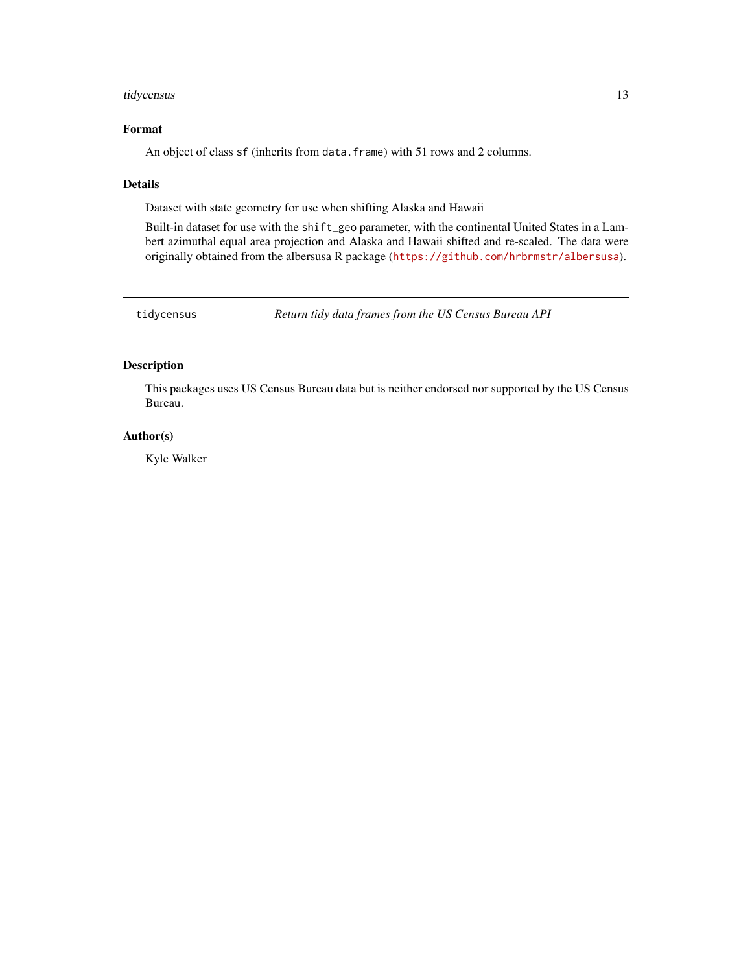# <span id="page-12-0"></span>tidycensus 13

# Format

An object of class sf (inherits from data.frame) with 51 rows and 2 columns.

# Details

Dataset with state geometry for use when shifting Alaska and Hawaii

Built-in dataset for use with the shift\_geo parameter, with the continental United States in a Lambert azimuthal equal area projection and Alaska and Hawaii shifted and re-scaled. The data were originally obtained from the albersusa R package (<https://github.com/hrbrmstr/albersusa>).

tidycensus *Return tidy data frames from the US Census Bureau API*

# Description

This packages uses US Census Bureau data but is neither endorsed nor supported by the US Census Bureau.

# Author(s)

Kyle Walker